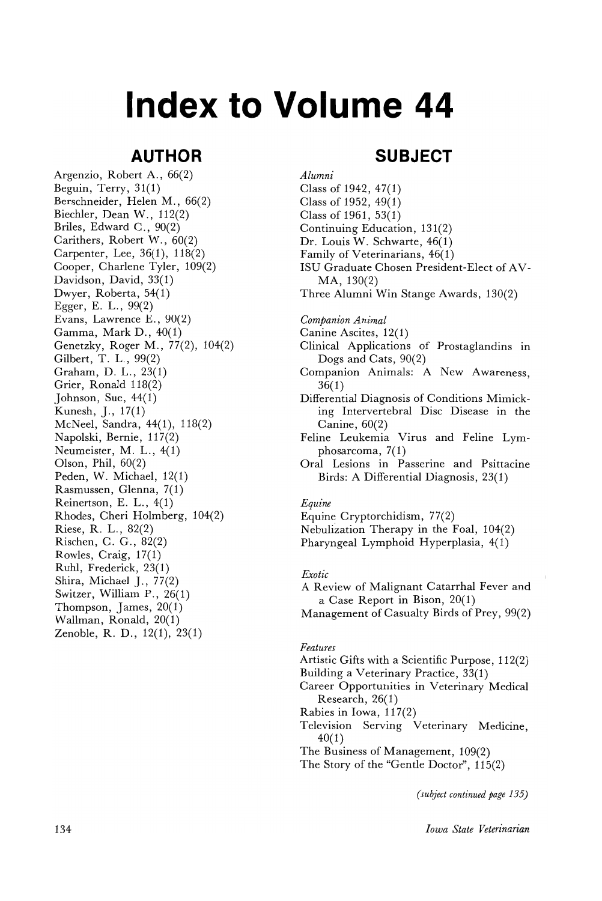# **Index to Volume 44**

# **AUTHOR**

Argenzio, Robert A., 66(2) Beguin, Terry, 31(1) Berschneider, Helen M., 66(2) Biechler, Dean W., 112(2) Briles, Edward C., 90(2) Carithers, Robert W., 60(2) Carpenter, Lee, 36(1), 118(2) Cooper, Charlene Tyler, 109(2) Davidson, David, 33(1) Dwyer, Roberta, 54(1) Egger, E. L., 99(2) Evans, Lawrence  $E., 90(2)$ Gamma, Mark D., 40(1) Genetzky, Roger M., 77(2), 104(2) Gilbert, T. L., 99(2) Graham, D. L., 23(1) Grier, Ronald 118(2) Johnson, Sue, 44(1) Kunesh, J., 17(1) McNeel, Sandra, 44(1), 118(2) Napolski, Bernie, 117(2) Neumeister, M. L., 4(1) Olson, Phil, 60(2) Peden, W. Michael, 12(1) Rasmussen, Glenna, 7(1) Reinertson, E. L., 4(1) Rhodes, Cheri Holmberg, 104(2) Riese, R. L., 82(2) Rischen, C. G., 82(2) Rowles, Craig, 17(1) Ruhl, Frederick, 23(1) Shira, Michael J., 77(2) Switzer, William P., 26(1) Thompson, James, 20(1) Wallman, Ronald, 20(1) Zenoble, R. D., 12(1), 23(1)

# **SUBJECT**

*Alumni* Class of 1942, 47(1) Class of 1952,49(1) Class of 1961, 53(1) Continuing Education, 131(2) Dr. Louis W. Schwarte, 46(1) Family of Veterinarians, 46(1) ISU Graduate Chosen President-Elect of AV-MA, 130(2) Three Alumni Win Stange Awards, 130(2)

*Companion Animal*

- Canine Ascites, 12(1)
- Clinical Applications of Prostaglandins in Dogs and Cats, 90(2)
- Companion Animals: A New Awareness, 36(1)
- Differential Diagnosis of Conditions Mimicking Intervertebral Disc Disease in the Canine, 60(2)
- Feline Leukemia Virus and Feline Lymphosarcoma, 7(1)
- Oral Lesions in Passerine and Psittacine Birds: A Differential Diagnosis, 23(1)

## *Equine*

- Equine Cryptorchidism, 77(2)
- Nebulization Therapy in the Foal,  $104(2)$
- Pharyngeal Lymphoid Hyperplasia, 4(1)

## *Exotic*

- A Review of Malignant Catarrhal Fever and a Case Report in Bison, 20(1)
- Management of Casualty Birds of Prey, 99(2)

#### *Features*

- Artistic Gifts with a Scientific Purpose, 112(2)
- Building a Veterinary Practice, 33(1)
- Career Opportunities in Veterinary Medical Research, 26(1)
- Rabies in Iowa, 117(2)
- Television Serving Veterinary Medicine, 40(1)
- The Business of Management, 109(2)
- The Story of the "Gentle Doctor", 115(2)

*(subject continued page 135)*